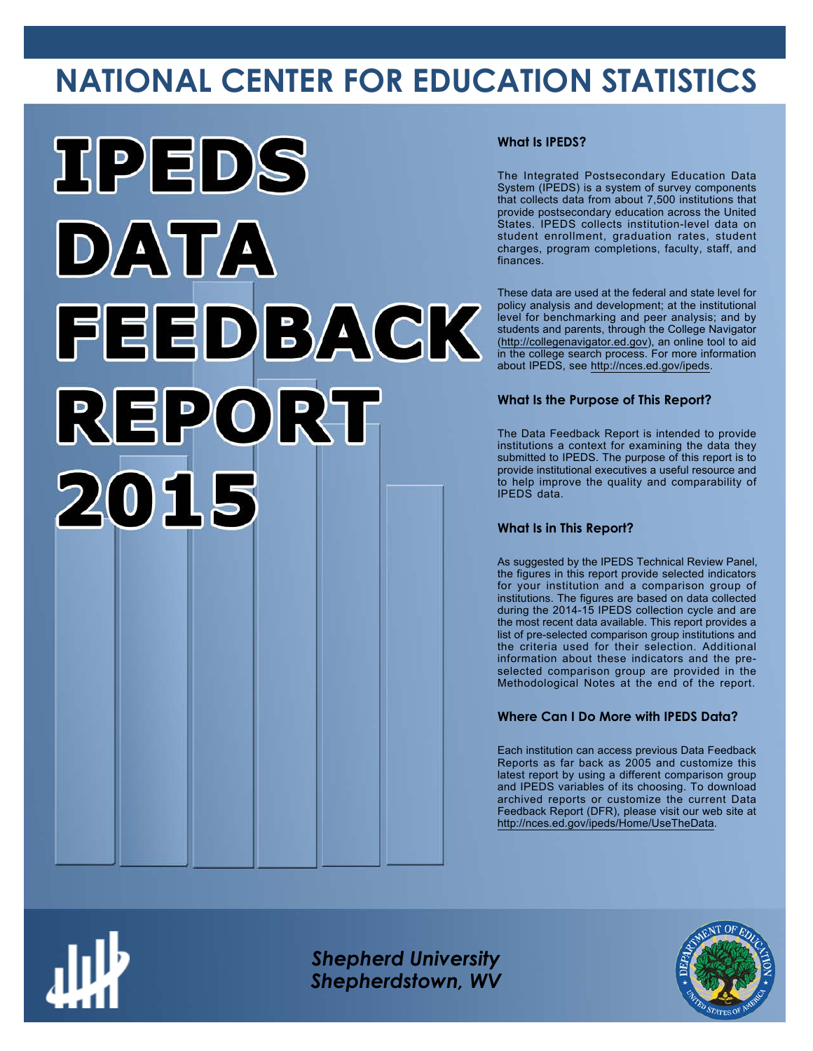# **NATIONAL CENTER FOR EDUCATION STATISTICS**



#### **What Is IPEDS?**

The Integrated Postsecondary Education Data System (IPEDS) is a system of survey components that collects data from about 7,500 institutions that provide postsecondary education across the United States. IPEDS collects institution-level data on student enrollment, graduation rates, student charges, program completions, faculty, staff, and finances.

These data are used at the federal and state level for policy analysis and development; at the institutional level for benchmarking and peer analysis; and by students and parents, through the College Navigator ([http://collegenavigator.ed.gov\)](http://collegenavigator.ed.gov), an online tool to aid in the college search process. For more information about IPEDS, see [http://nces.ed.gov/ipeds.](http://nces.ed.gov/ipeds)

#### **What Is the Purpose of This Report?**

The Data Feedback Report is intended to provide institutions a context for examining the data they submitted to IPEDS. The purpose of this report is to provide institutional executives a useful resource and to help improve the quality and comparability of IPEDS data.

#### **What Is in This Report?**

As suggested by the IPEDS Technical Review Panel, the figures in this report provide selected indicators for your institution and a comparison group of institutions. The figures are based on data collected during the 2014-15 IPEDS collection cycle and are the most recent data available. This report provides a list of pre-selected comparison group institutions and the criteria used for their selection. Additional information about these indicators and the preselected comparison group are provided in the Methodological Notes at the end of the report.

#### **Where Can I Do More with IPEDS Data?**

Each institution can access previous Data Feedback Reports as far back as 2005 and customize this latest report by using a different comparison group and IPEDS variables of its choosing. To download archived reports or customize the current Data Feedback Report (DFR), please visit our web site at [http://nces.ed.gov/ipeds/Home/UseTheData.](http://nces.ed.gov/ipeds/Home/UseTheData)



*Shepherd University Shepherdstown, WV*

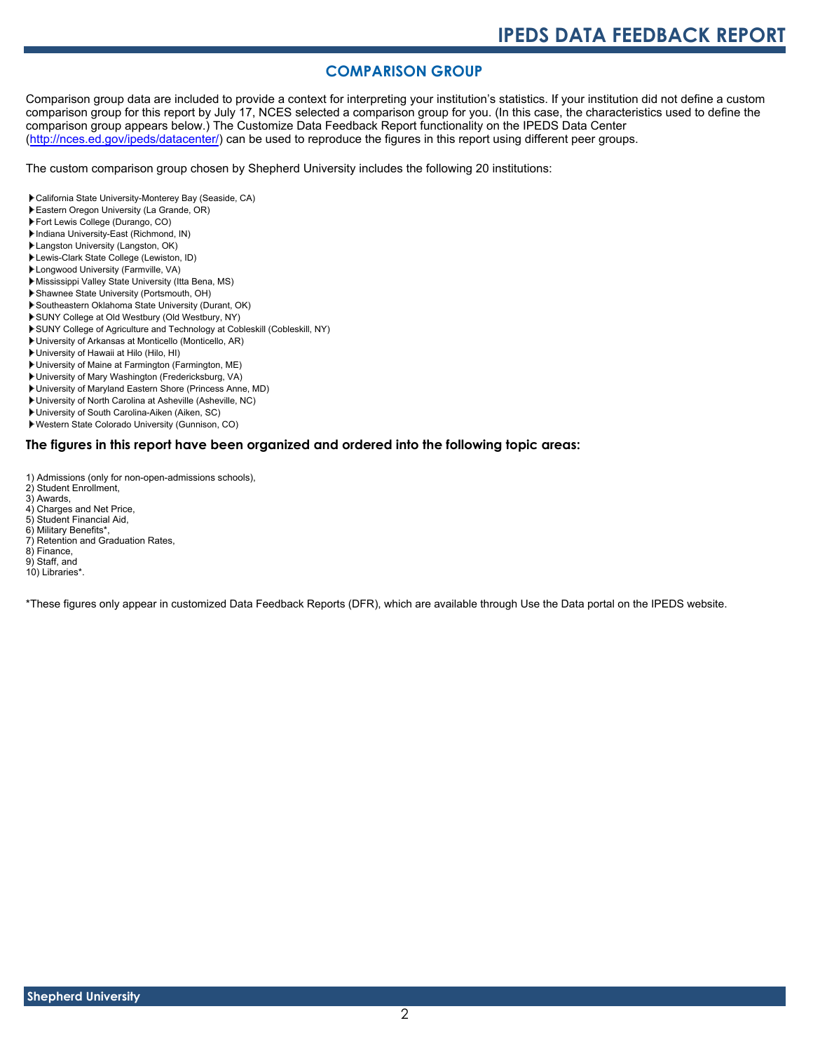### **COMPARISON GROUP**

Comparison group data are included to provide a context for interpreting your institution's statistics. If your institution did not define a custom comparison group for this report by July 17, NCES selected a comparison group for you. (In this case, the characteristics used to define the comparison group appears below.) The Customize Data Feedback Report functionality on the IPEDS Data Center [\(http://nces.ed.gov/ipeds/datacenter/\)](http://nces.ed.gov/ipeds/datacenter/) can be used to reproduce the figures in this report using different peer groups.

The custom comparison group chosen by Shepherd University includes the following 20 institutions:

- California State University-Monterey Bay (Seaside, CA)
- Eastern Oregon University (La Grande, OR)
- Fort Lewis College (Durango, CO)
- Indiana University-East (Richmond, IN)
- Langston University (Langston, OK)
- Lewis-Clark State College (Lewiston, ID) Longwood University (Farmville, VA)
- Mississippi Valley State University (Itta Bena, MS)
- Shawnee State University (Portsmouth, OH)
- Southeastern Oklahoma State University (Durant, OK)
- SUNY College at Old Westbury (Old Westbury, NY)
- SUNY College of Agriculture and Technology at Cobleskill (Cobleskill, NY)
- University of Arkansas at Monticello (Monticello, AR)
- University of Hawaii at Hilo (Hilo, HI)
- University of Maine at Farmington (Farmington, ME)
- University of Mary Washington (Fredericksburg, VA)
- University of Maryland Eastern Shore (Princess Anne, MD)
- University of North Carolina at Asheville (Asheville, NC)
- University of South Carolina-Aiken (Aiken, SC)
- Western State Colorado University (Gunnison, CO)

#### **The figures in this report have been organized and ordered into the following topic areas:**

- 1) Admissions (only for non-open-admissions schools),
- 2) Student Enrollment, 3) Awards,
- 
- 4) Charges and Net Price, 5) Student Financial Aid,
- 6) Military Benefits\*,
- 7) Retention and Graduation Rates, 8) Finance,
- 
- 9) Staff, and
- 10) Libraries\*.

\*These figures only appear in customized Data Feedback Reports (DFR), which are available through Use the Data portal on the IPEDS website.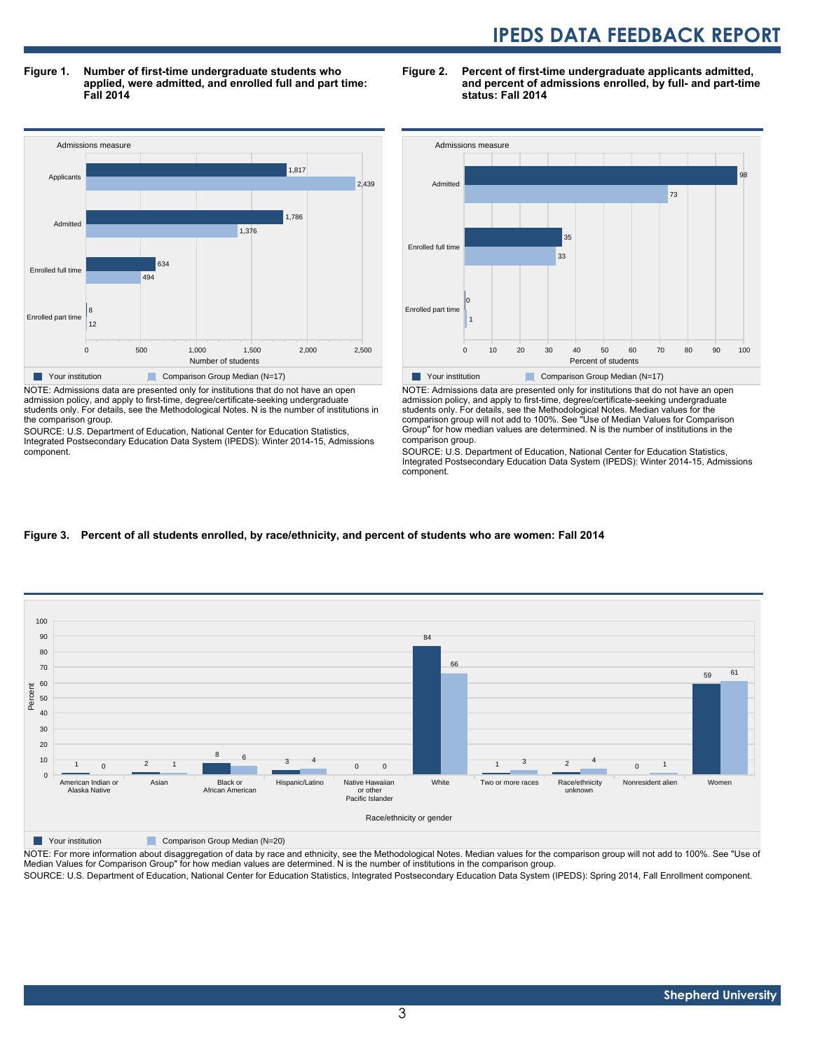**Figure 1. Number of first-time undergraduate students who applied, were admitted, and enrolled full and part time: Fall 2014**



admission policy, and apply to first-time, degree/certificate-seeking undergraduate students only. For details, see the Methodological Notes. N is the number of institutions in the comparison group.

SOURCE: U.S. Department of Education, National Center for Education Statistics, Integrated Postsecondary Education Data System (IPEDS): Winter 2014-15, Admissions component.





NOTE: Admissions data are presented only for institutions that do not have an open admission policy, and apply to first-time, degree/certificate-seeking undergraduate students only. For details, see the Methodological Notes. Median values for the comparison group will not add to 100%. See "Use of Median Values for Comparison Group" for how median values are determined. N is the number of institutions in the comparison group.

SOURCE: U.S. Department of Education, National Center for Education Statistics, Integrated Postsecondary Education Data System (IPEDS): Winter 2014-15, Admissions component.

#### **Figure 3. Percent of all students enrolled, by race/ethnicity, and percent of students who are women: Fall 2014**



**Your institution** Comparison Group Median (N=20)

NOTE: For more information about disaggregation of data by race and ethnicity, see the Methodological Notes. Median values for the comparison group will not add to 100%. See "Use of Median Values for Comparison Group" for how median values are determined. N is the number of institutions in the comparison group. SOURCE: U.S. Department of Education, National Center for Education Statistics, Integrated Postsecondary Education Data System (IPEDS): Spring 2014, Fall Enrollment component.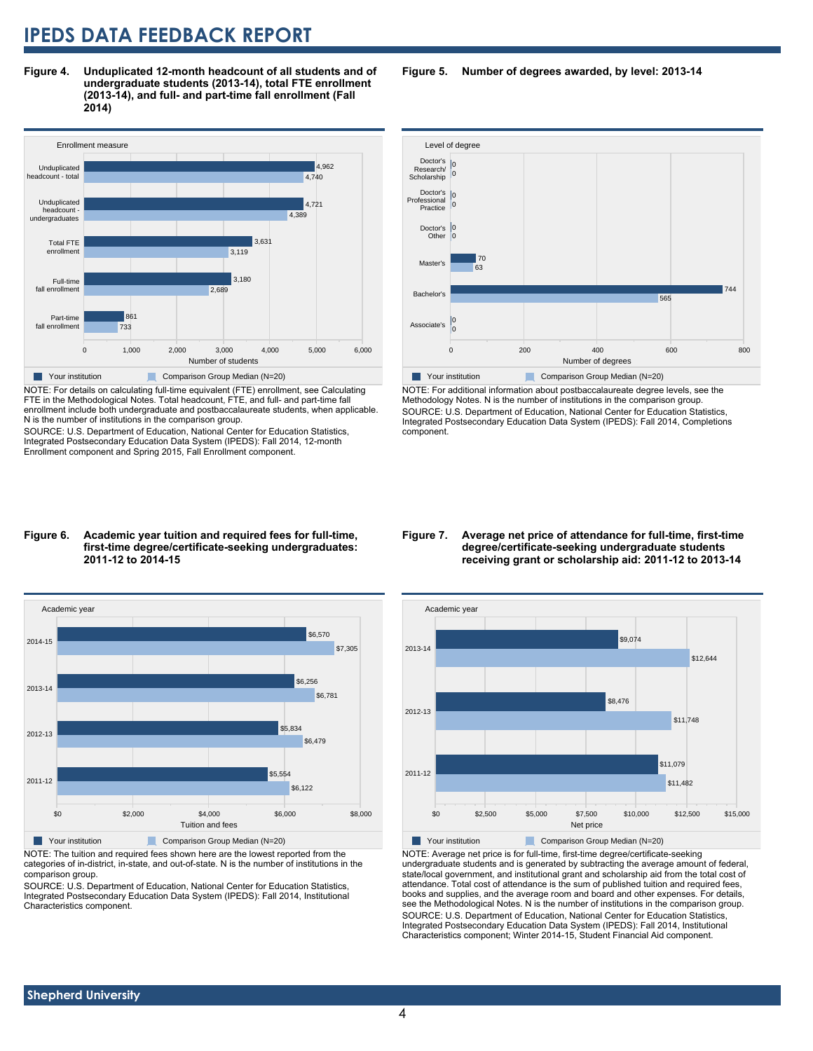**Figure 4. Unduplicated 12-month headcount of all students and of undergraduate students (2013-14), total FTE enrollment (2013-14), and full- and part-time fall enrollment (Fall 2014)**



NOTE: For details on calculating full-time equivalent (FTE) enrollment, see Calculating FTE in the Methodological Notes. Total headcount, FTE, and full- and part-time fall enrollment include both undergraduate and postbaccalaureate students, when applicable. N is the number of institutions in the comparison group.

SOURCE: U.S. Department of Education, National Center for Education Statistics, Integrated Postsecondary Education Data System (IPEDS): Fall 2014, 12-month Enrollment component and Spring 2015, Fall Enrollment component.

#### Level of degree Doctor's 0<br>Doctor's 0 0 200 200 400 600 600 800 Number of degrees Associate's Bachelor's Master's Doctor's **Other** Doctor's Professional Practice Research/ **Scholarship** 0 0 565 744 63 70  $\overline{0}$ 0  $\overline{0}$ 0 0

**Figure 5. Number of degrees awarded, by level: 2013-14**

**The Your institution Comparison Group Median (N=20)** 

NOTE: For additional information about postbaccalaureate degree levels, see the Methodology Notes. N is the number of institutions in the comparison group. SOURCE: U.S. Department of Education, National Center for Education Statistics, Integrated Postsecondary Education Data System (IPEDS): Fall 2014, Completions component.

#### **Figure 6. Academic year tuition and required fees for full-time, first-time degree/certificate-seeking undergraduates: 2011-12 to 2014-15**



NOTE: The tuition and required fees shown here are the lowest reported from the categories of in-district, in-state, and out-of-state. N is the number of institutions in the comparison group.

SOURCE: U.S. Department of Education, National Center for Education Statistics, Integrated Postsecondary Education Data System (IPEDS): Fall 2014, Institutional Characteristics component.

#### **Figure 7. Average net price of attendance for full-time, first-time degree/certificate-seeking undergraduate students receiving grant or scholarship aid: 2011-12 to 2013-14**



NOTE: Average net price is for full-time, first-time degree/certificate-seeking undergraduate students and is generated by subtracting the average amount of federal, state/local government, and institutional grant and scholarship aid from the total cost of attendance. Total cost of attendance is the sum of published tuition and required fees, books and supplies, and the average room and board and other expenses. For details, see the Methodological Notes. N is the number of institutions in the comparison group. SOURCE: U.S. Department of Education, National Center for Education Statistics, Integrated Postsecondary Education Data System (IPEDS): Fall 2014, Institutional Characteristics component; Winter 2014-15, Student Financial Aid component.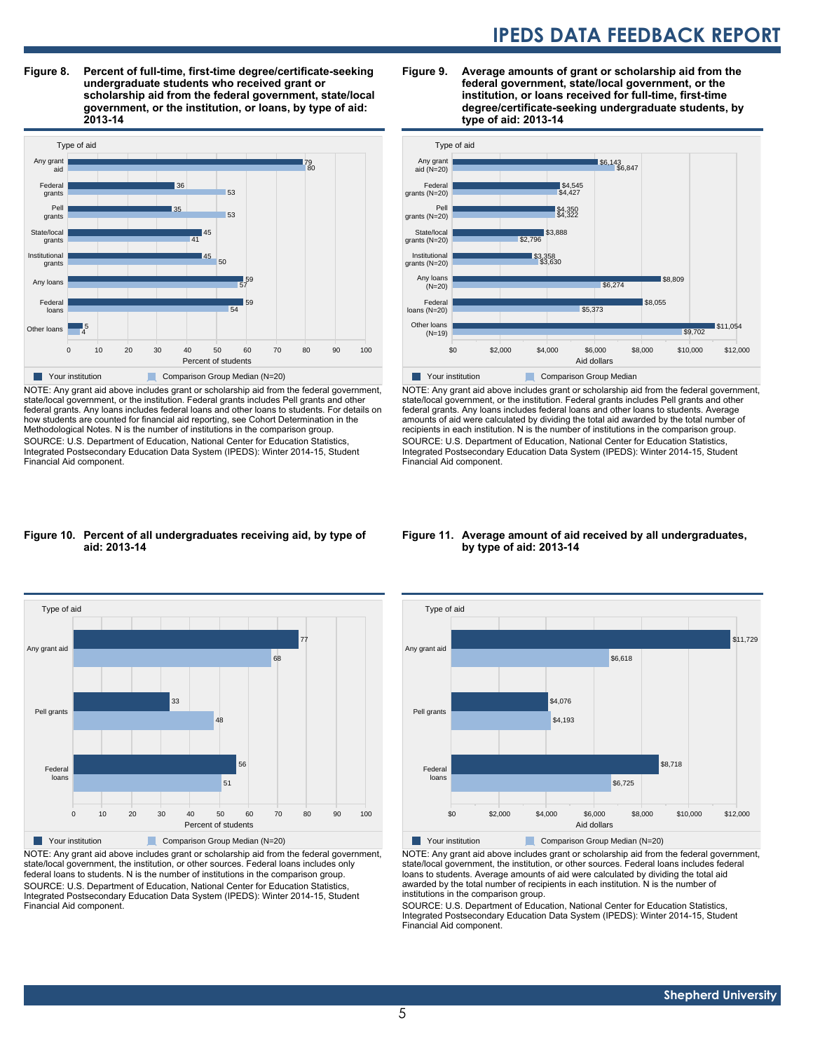**Figure 8. Percent of full-time, first-time degree/certificate-seeking undergraduate students who received grant or scholarship aid from the federal government, state/local government, or the institution, or loans, by type of aid: 2013-14**



NOTE: Any grant aid above includes grant or scholarship aid from the federal government, state/local government, or the institution. Federal grants includes Pell grants and other federal grants. Any loans includes federal loans and other loans to students. For details on how students are counted for financial aid reporting, see Cohort Determination in the Methodological Notes. N is the number of institutions in the comparison group. SOURCE: U.S. Department of Education, National Center for Education Statistics, Integrated Postsecondary Education Data System (IPEDS): Winter 2014-15, Student Financial Aid component.

#### **Figure 9. Average amounts of grant or scholarship aid from the federal government, state/local government, or the institution, or loans received for full-time, first-time degree/certificate-seeking undergraduate students, by type of aid: 2013-14**



NOTE: Any grant aid above includes grant or scholarship aid from the federal government, state/local government, or the institution. Federal grants includes Pell grants and other federal grants. Any loans includes federal loans and other loans to students. Average amounts of aid were calculated by dividing the total aid awarded by the total number of recipients in each institution. N is the number of institutions in the comparison group. SOURCE: U.S. Department of Education, National Center for Education Statistics, Integrated Postsecondary Education Data System (IPEDS): Winter 2014-15, Student Financial Aid component.

#### **Figure 10. Percent of all undergraduates receiving aid, by type of aid: 2013-14**



NOTE: Any grant aid above includes grant or scholarship aid from the federal government, state/local government, the institution, or other sources. Federal loans includes only federal loans to students. N is the number of institutions in the comparison group. SOURCE: U.S. Department of Education, National Center for Education Statistics, Integrated Postsecondary Education Data System (IPEDS): Winter 2014-15, Student Financial Aid component.

#### **Figure 11. Average amount of aid received by all undergraduates, by type of aid: 2013-14**



NOTE: Any grant aid above includes grant or scholarship aid from the federal government, state/local government, the institution, or other sources. Federal loans includes federal loans to students. Average amounts of aid were calculated by dividing the total aid awarded by the total number of recipients in each institution. N is the number of institutions in the comparison group.

SOURCE: U.S. Department of Education, National Center for Education Statistics, Integrated Postsecondary Education Data System (IPEDS): Winter 2014-15, Student Financial Aid component.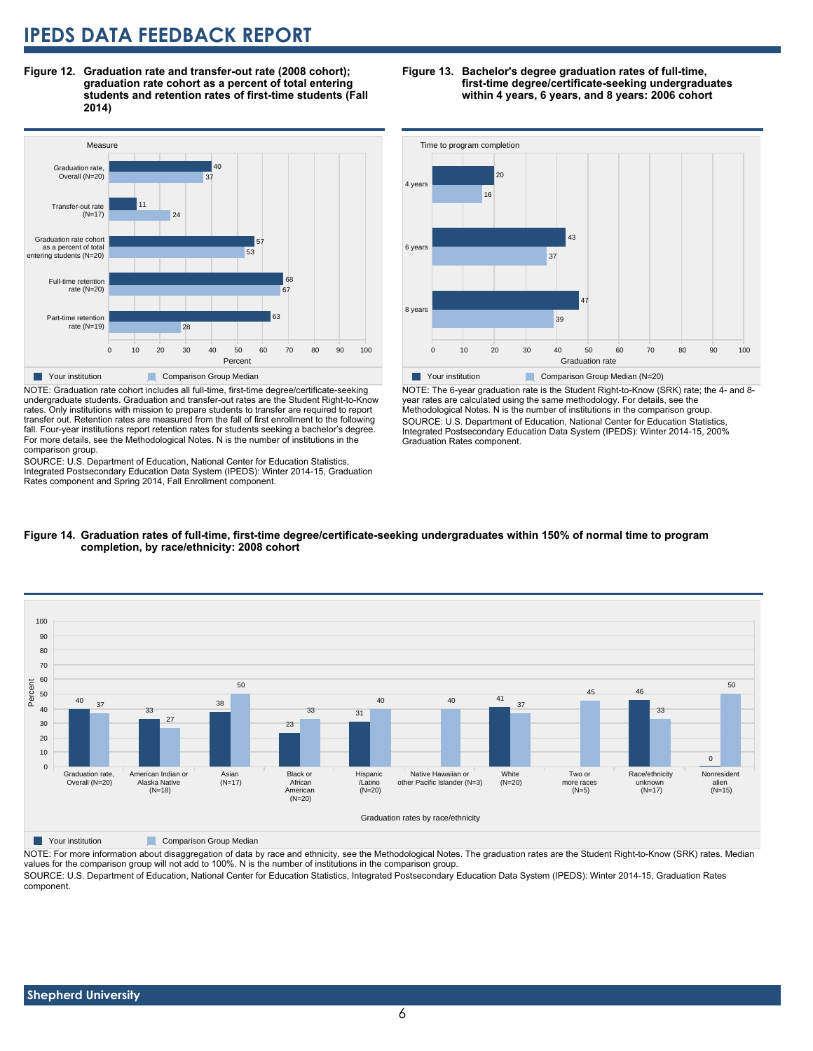**Figure 12. Graduation rate and transfer-out rate (2008 cohort); graduation rate cohort as a percent of total entering students and retention rates of first-time students (Fall 2014)**



NOTE: Graduation rate cohort includes all full-time, first-time degree/certificate-seeking undergraduate students. Graduation and transfer-out rates are the Student Right-to-Know rates. Only institutions with mission to prepare students to transfer are required to report transfer out. Retention rates are measured from the fall of first enrollment to the following fall. Four-year institutions report retention rates for students seeking a bachelor's degree. For more details, see the Methodological Notes. N is the number of institutions in the comparison group.

SOURCE: U.S. Department of Education, National Center for Education Statistics, Integrated Postsecondary Education Data System (IPEDS): Winter 2014-15, Graduation Rates component and Spring 2014, Fall Enrollment component.

#### **Figure 13. Bachelor's degree graduation rates of full-time, first-time degree/certificate-seeking undergraduates within 4 years, 6 years, and 8 years: 2006 cohort**



NOTE: The 6-year graduation rate is the Student Right-to-Know (SRK) rate; the 4- and 8 year rates are calculated using the same methodology. For details, see the Methodological Notes. N is the number of institutions in the comparison group. SOURCE: U.S. Department of Education, National Center for Education Statistics, Integrated Postsecondary Education Data System (IPEDS): Winter 2014-15, 200% Graduation Rates component.





**Table Your institution** Comparison Group Median

NOTE: For more information about disaggregation of data by race and ethnicity, see the Methodological Notes. The graduation rates are the Student Right-to-Know (SRK) rates. Median values for the comparison group will not add to 100%. N is the number of institutions in the comparison group.

SOURCE: U.S. Department of Education, National Center for Education Statistics, Integrated Postsecondary Education Data System (IPEDS): Winter 2014-15, Graduation Rates component.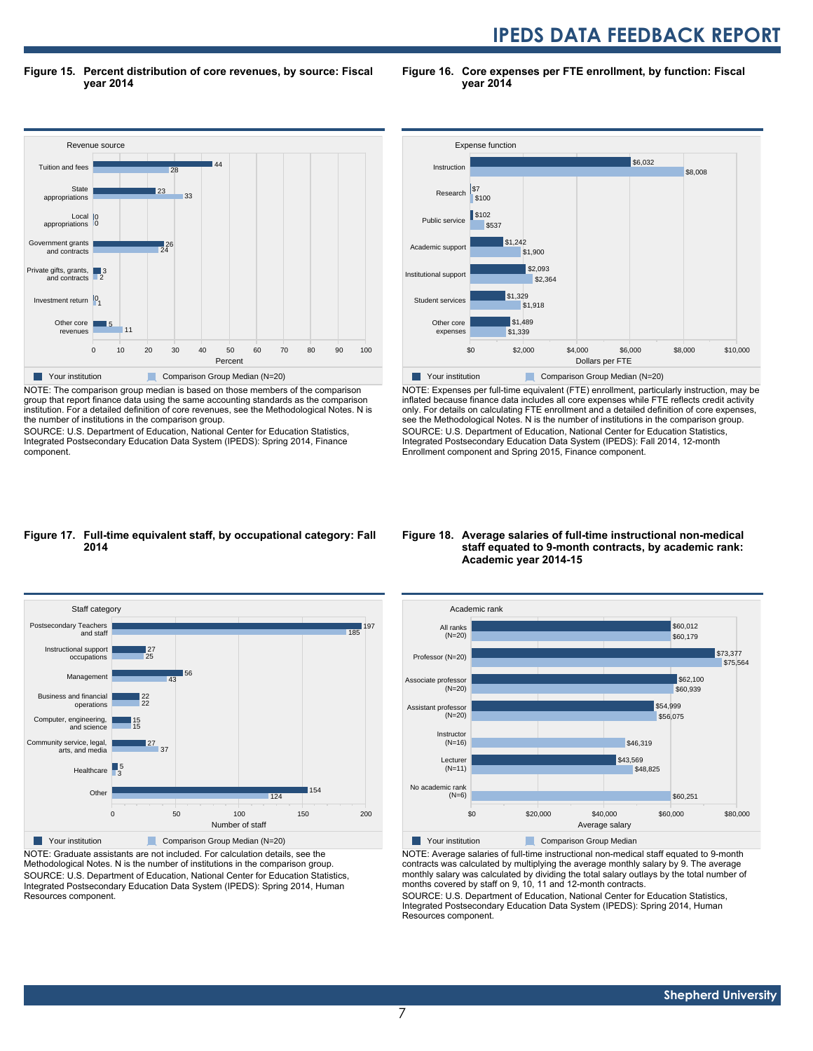**Figure 15. Percent distribution of core revenues, by source: Fiscal year 2014**

**Figure 16. Core expenses per FTE enrollment, by function: Fiscal year 2014**



NOTE: The comparison group median is based on those members of the comparison group that report finance data using the same accounting standards as the comparison institution. For a detailed definition of core revenues, see the Methodological Notes. N is the number of institutions in the comparison group.

SOURCE: U.S. Department of Education, National Center for Education Statistics, Integrated Postsecondary Education Data System (IPEDS): Spring 2014, Finance component.



NOTE: Expenses per full-time equivalent (FTE) enrollment, particularly instruction, may be inflated because finance data includes all core expenses while FTE reflects credit activity only. For details on calculating FTE enrollment and a detailed definition of core expenses, see the Methodological Notes. N is the number of institutions in the comparison group. SOURCE: U.S. Department of Education, National Center for Education Statistics, Integrated Postsecondary Education Data System (IPEDS): Fall 2014, 12-month Enrollment component and Spring 2015, Finance component.

#### **Figure 17. Full-time equivalent staff, by occupational category: Fall 2014**



NOTE: Graduate assistants are not included. For calculation details, see the Methodological Notes. N is the number of institutions in the comparison group. SOURCE: U.S. Department of Education, National Center for Education Statistics, Integrated Postsecondary Education Data System (IPEDS): Spring 2014, Human Resources component.

#### **Figure 18. Average salaries of full-time instructional non-medical staff equated to 9-month contracts, by academic rank: Academic year 2014-15**



NOTE: Average salaries of full-time instructional non-medical staff equated to 9-month contracts was calculated by multiplying the average monthly salary by 9. The average monthly salary was calculated by dividing the total salary outlays by the total number of months covered by staff on 9, 10, 11 and 12-month contracts.

SOURCE: U.S. Department of Education, National Center for Education Statistics, Integrated Postsecondary Education Data System (IPEDS): Spring 2014, Human Resources component.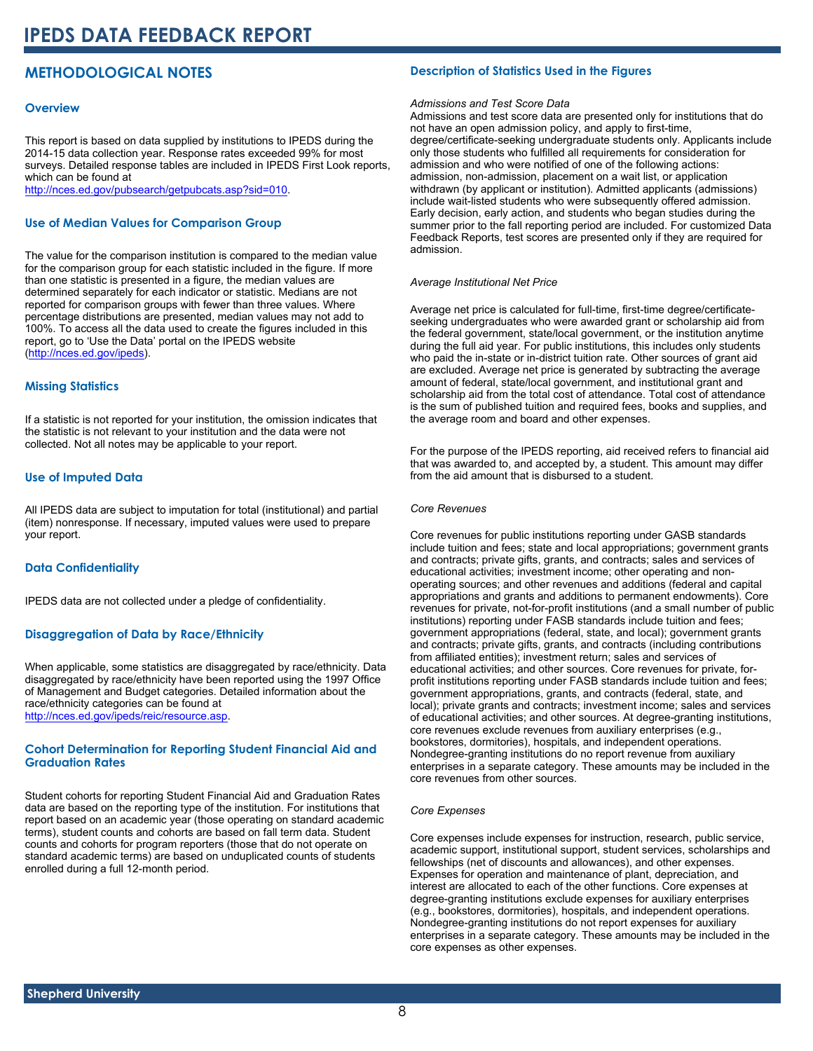### **METHODOLOGICAL NOTES**

#### **Overview**

This report is based on data supplied by institutions to IPEDS during the 2014-15 data collection year. Response rates exceeded 99% for most surveys. Detailed response tables are included in IPEDS First Look reports, which can be found at [http://nces.ed.gov/pubsearch/getpubcats.asp?sid=010.](http://nces.ed.gov/pubsearch/getpubcats.asp?sid=010)

#### **Use of Median Values for Comparison Group**

The value for the comparison institution is compared to the median value for the comparison group for each statistic included in the figure. If more than one statistic is presented in a figure, the median values are determined separately for each indicator or statistic. Medians are not reported for comparison groups with fewer than three values. Where percentage distributions are presented, median values may not add to 100%. To access all the data used to create the figures included in this report, go to 'Use the Data' portal on the IPEDS website ([http://nces.ed.gov/ipeds\)](http://nces.ed.gov/ipeds).

#### **Missing Statistics**

If a statistic is not reported for your institution, the omission indicates that the statistic is not relevant to your institution and the data were not collected. Not all notes may be applicable to your report.

#### **Use of Imputed Data**

All IPEDS data are subject to imputation for total (institutional) and partial (item) nonresponse. If necessary, imputed values were used to prepare your report.

#### **Data Confidentiality**

IPEDS data are not collected under a pledge of confidentiality.

#### **Disaggregation of Data by Race/Ethnicity**

When applicable, some statistics are disaggregated by race/ethnicity. Data disaggregated by race/ethnicity have been reported using the 1997 Office of Management and Budget categories. Detailed information about the race/ethnicity categories can be found at <http://nces.ed.gov/ipeds/reic/resource.asp>.

#### **Cohort Determination for Reporting Student Financial Aid and Graduation Rates**

Student cohorts for reporting Student Financial Aid and Graduation Rates data are based on the reporting type of the institution. For institutions that report based on an academic year (those operating on standard academic terms), student counts and cohorts are based on fall term data. Student counts and cohorts for program reporters (those that do not operate on standard academic terms) are based on unduplicated counts of students enrolled during a full 12-month period.

#### **Description of Statistics Used in the Figures**

#### *Admissions and Test Score Data*

Admissions and test score data are presented only for institutions that do not have an open admission policy, and apply to first-time, degree/certificate-seeking undergraduate students only. Applicants include only those students who fulfilled all requirements for consideration for admission and who were notified of one of the following actions: admission, non-admission, placement on a wait list, or application withdrawn (by applicant or institution). Admitted applicants (admissions) include wait-listed students who were subsequently offered admission. Early decision, early action, and students who began studies during the summer prior to the fall reporting period are included. For customized Data Feedback Reports, test scores are presented only if they are required for admission.

#### *Average Institutional Net Price*

Average net price is calculated for full-time, first-time degree/certificateseeking undergraduates who were awarded grant or scholarship aid from the federal government, state/local government, or the institution anytime during the full aid year. For public institutions, this includes only students who paid the in-state or in-district tuition rate. Other sources of grant aid are excluded. Average net price is generated by subtracting the average amount of federal, state/local government, and institutional grant and scholarship aid from the total cost of attendance. Total cost of attendance is the sum of published tuition and required fees, books and supplies, and the average room and board and other expenses.

For the purpose of the IPEDS reporting, aid received refers to financial aid that was awarded to, and accepted by, a student. This amount may differ from the aid amount that is disbursed to a student.

#### *Core Revenues*

Core revenues for public institutions reporting under GASB standards include tuition and fees; state and local appropriations; government grants and contracts; private gifts, grants, and contracts; sales and services of educational activities; investment income; other operating and nonoperating sources; and other revenues and additions (federal and capital appropriations and grants and additions to permanent endowments). Core revenues for private, not-for-profit institutions (and a small number of public institutions) reporting under FASB standards include tuition and fees; government appropriations (federal, state, and local); government grants and contracts; private gifts, grants, and contracts (including contributions from affiliated entities); investment return; sales and services of educational activities; and other sources. Core revenues for private, forprofit institutions reporting under FASB standards include tuition and fees; government appropriations, grants, and contracts (federal, state, and local); private grants and contracts; investment income; sales and services of educational activities; and other sources. At degree-granting institutions, core revenues exclude revenues from auxiliary enterprises (e.g., bookstores, dormitories), hospitals, and independent operations. Nondegree-granting institutions do no report revenue from auxiliary enterprises in a separate category. These amounts may be included in the core revenues from other sources.

#### *Core Expenses*

Core expenses include expenses for instruction, research, public service, academic support, institutional support, student services, scholarships and fellowships (net of discounts and allowances), and other expenses. Expenses for operation and maintenance of plant, depreciation, and interest are allocated to each of the other functions. Core expenses at degree-granting institutions exclude expenses for auxiliary enterprises (e.g., bookstores, dormitories), hospitals, and independent operations. Nondegree-granting institutions do not report expenses for auxiliary enterprises in a separate category. These amounts may be included in the core expenses as other expenses.